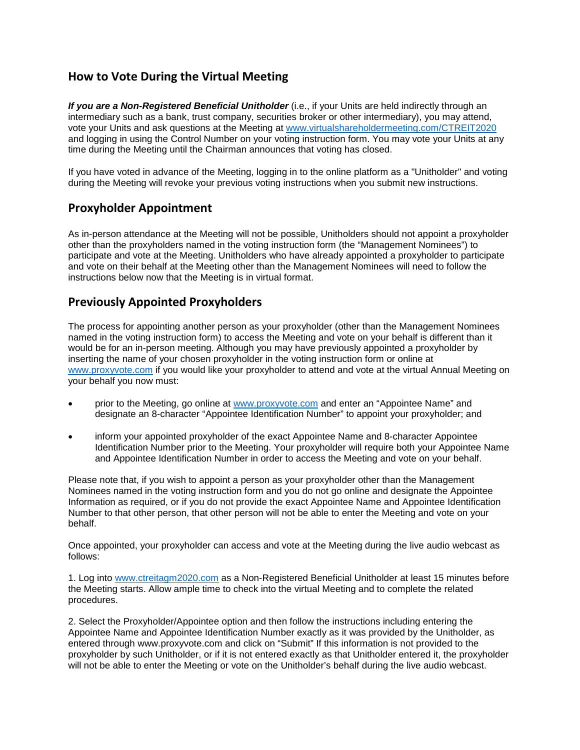## **How to Vote During the Virtual Meeting**

*If you are a Non-Registered Beneficial Unitholder* (i.e., if your Units are held indirectly through an intermediary such as a bank, trust company, securities broker or other intermediary), you may attend, vote your Units and ask questions at the Meeting at [www.virtualshareholdermeeting.com/CTREIT2020](http://www.virtualshareholdermeeting.com/CTREIT2020) and logging in using the Control Number on your voting instruction form. You may vote your Units at any time during the Meeting until the Chairman announces that voting has closed.

If you have voted in advance of the Meeting, logging in to the online platform as a "Unitholder" and voting during the Meeting will revoke your previous voting instructions when you submit new instructions.

## **Proxyholder Appointment**

As in-person attendance at the Meeting will not be possible, Unitholders should not appoint a proxyholder other than the proxyholders named in the voting instruction form (the "Management Nominees") to participate and vote at the Meeting. Unitholders who have already appointed a proxyholder to participate and vote on their behalf at the Meeting other than the Management Nominees will need to follow the instructions below now that the Meeting is in virtual format.

## **Previously Appointed Proxyholders**

The process for appointing another person as your proxyholder (other than the Management Nominees named in the voting instruction form) to access the Meeting and vote on your behalf is different than it would be for an in-person meeting. Although you may have previously appointed a proxyholder by inserting the name of your chosen proxyholder in the voting instruction form or online at [www.proxyvote.com](http://www.proxyvote.com/) if you would like your proxyholder to attend and vote at the virtual Annual Meeting on your behalf you now must:

- prior to the Meeting, go online at [www.proxyvote.com](http://www.proxyvote.com/) and enter an "Appointee Name" and designate an 8-character "Appointee Identification Number" to appoint your proxyholder; and
- inform your appointed proxyholder of the exact Appointee Name and 8-character Appointee Identification Number prior to the Meeting. Your proxyholder will require both your Appointee Name and Appointee Identification Number in order to access the Meeting and vote on your behalf.

Please note that, if you wish to appoint a person as your proxyholder other than the Management Nominees named in the voting instruction form and you do not go online and designate the Appointee Information as required, or if you do not provide the exact Appointee Name and Appointee Identification Number to that other person, that other person will not be able to enter the Meeting and vote on your behalf.

Once appointed, your proxyholder can access and vote at the Meeting during the live audio webcast as follows:

1. Log into [www.ctreitagm2020.com](http://www.ctreitagm2020.com/) as a Non-Registered Beneficial Unitholder at least 15 minutes before the Meeting starts. Allow ample time to check into the virtual Meeting and to complete the related procedures.

2. Select the Proxyholder/Appointee option and then follow the instructions including entering the Appointee Name and Appointee Identification Number exactly as it was provided by the Unitholder, as entered through www.proxyvote.com and click on "Submit" If this information is not provided to the proxyholder by such Unitholder, or if it is not entered exactly as that Unitholder entered it, the proxyholder will not be able to enter the Meeting or vote on the Unitholder's behalf during the live audio webcast.